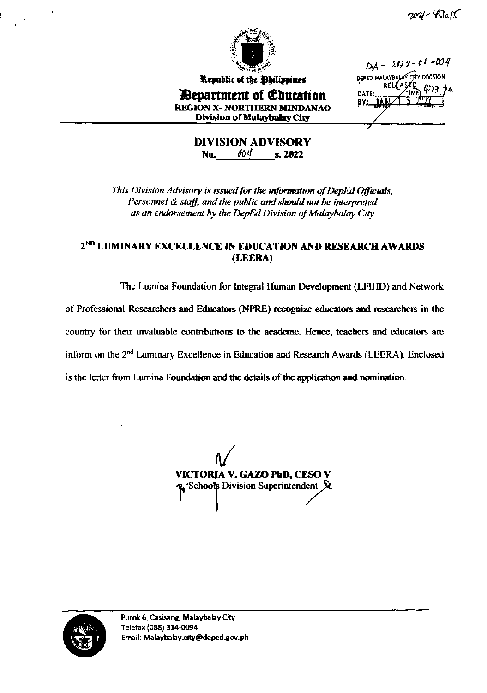



Republic of the Philippines *Bepartment of Coucation* **REGION X- NORTHERN MINDANAO Division of Malaybalay City** 

 $DA - 202 - 01 - 004$ DEPED MALAYBALAY CITY DIVISION DATE: ΒY.,

**DIVISION ADVISORY**  $004$  s. 2022 **No.** 

This Division Advisory is issued for the information of DepEd Officials, Personnel & staff, and the public and should not be interpreted as an endorsement by the DepEd Division of Malaybalay City

### 2<sup>ND</sup> LUMINARY EXCELLENCE IN EDUCATION AND RESEARCH AWARDS (LEERA)

The Lumina Foundation for Integral Human Development (LFIHD) and Network of Professional Researchers and Educators (NPRE) recognize educators and researchers in the country for their invaluable contributions to the academe. Hence, teachers and educators are inform on the 2<sup>nd</sup> Luminary Excellence in Education and Research Awards (LEERA). Enclosed is the letter from Lumina Foundation and the details of the application and nomination.

VICTORIA V. GAZO PbD, CESO V 'Schools Division Superintendent &

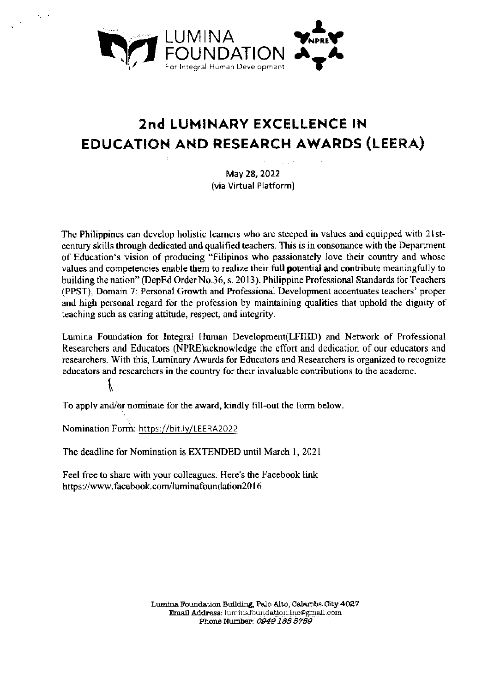

## 2nd LUMINARY EXCELLENCE IN EDUCATION AND RESEARCH AWARDS (LEERA)

May 28, 2022 (via Virtual Platform)

The Philippines can develop holistic learners who are steeped in values and equipped with 21stcentury skills through dedicated and qualified teachers. This is in consonance with the Department of Education's vision of producing "Filipinos who passionately love their country and whose values and competencies enable them to realize their full potential and contribute meaningfully to building the nation" (DepEd Order No.36, s. 2013). Philippine Professional Standards for Teachers (PPST), Domain 7: Personal Growth and Professional Development accentuates teachers' proper and high personal regard for the profession by maintaining qualities that uphold the dignity of teaching such as caring attitude, respect, and integrity.

Lumina Foundation for Integral Human Development(LFIHD) and Network of Professional Researchers and Educators (NPRE) acknowledge the effort and dedication of our educators and researchers. With this, Luminary Awards for Educators and Researchers is organized to recognize educators and researchers in the country for their invaluable contributions to the academe.

To apply and/or nominate for the award, kindly fill-out the form below.

Nomination Form: https://bit.ly/LEERA2022

ľ

The deadline for Nomination is EXTENDED until March 1, 2021

Feel free to share with your colleagues. Here's the Facebook link https://www.facebook.com/luminafoundation2016

> Lumina Foundation Building, Palo Alto, Calamba City 4027 Email Address; luminafoundation.inc@gmail.com Phone Number: 0949 185 5759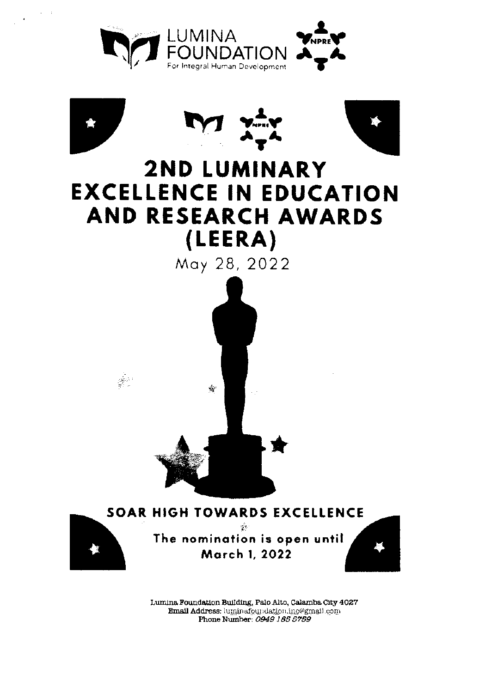







# **2ND LUMINARY EXCELLENCE IN EDUCATION** AND RESEARCH AWARDS (LEERA)

May 28, 2022





 $\frac{\partial \mathbf{X}^{(1)}}{\partial \mathbf{X}^{(2)}}$ 

**SOAR HIGH TOWARDS EXCELLENCE**  $\gamma$  . The nomination is open until

March 1, 2022



Lumina Foundation Building, Palo Alto, Calamba City 4027 Email Address: luminafoundation.inc@gmail.com Phone Number: 0949 185 5759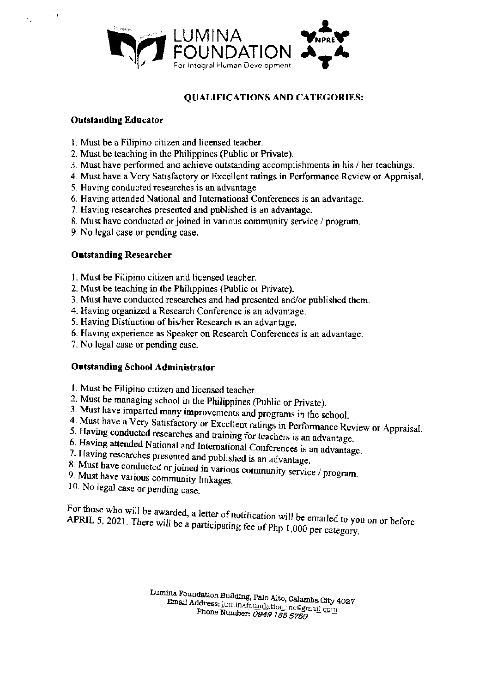

#### **QUALIFICATIONS AND CATEGORIES:**

#### **Outstanding Educator**

 $\sim_{\rm c}$  .

- 1. Must be a Filipino citizen and licensed teacher.
- 2. Must be teaching in the Philippines (Public or Private).
- 3. Must have performed and achieve outstanding accomplishments in his / her teachings.
- 4. Must have a Very Satisfactory or Excellent ratings in Performance Review or Appraisal.
- 5. Having conducted researches is an advantage
- 6. Having attended National and International Conferences is an advantage.
- 7. Having researches presented and published is an advantage.
- 8. Must have conducted or joined in various community service / program.
- 9. No legal case or pending case.

#### **Outstanding Researcher**

- 1. Must be Filipino citizen and licensed teacher.
- 2. Must be teaching in the Philippines (Public or Private).
- 3. Must have conducted researches and had presented and/or published them.
- 4. Having organized a Research Conference is an advantage.
- 5. Having Distinction of his/her Research is an advantage.
- 6. Having experience as Speaker on Research Conferences is an advantage.
- 7. No legal case or pending case.

#### **Outstanding School Administrator**

- 1. Must be Filipino citizen and licensed teacher.
- 2. Must be managing school in the Philippines (Public or Private).
- 3. Must have imparted many improvements and programs in the school.
- 4. Must have a Very Satisfactory or Excellent ratings in Performance Review or Appraisal.
- 5. Having conducted researches and training for teachers is an advantage.
- 6. Having attended National and International Conferences is an advantage.
- 7. Having researches presented and published is an advantage.
- 8. Must have conducted or joined in various community service / program. 9. Must have various community linkages.
- 
- 10. No legal case or pending case.

For those who will be awarded, a letter of notification will be emailed to you on or before APRIL 5, 2021. There will be a participating fee of Php 1,000 per category.

> Lumina Foundation Building, Palo Alto, Calamba City 4027 Email Address: luminatoundation.inc@gmail.com Phone Number: 0949 185 5759